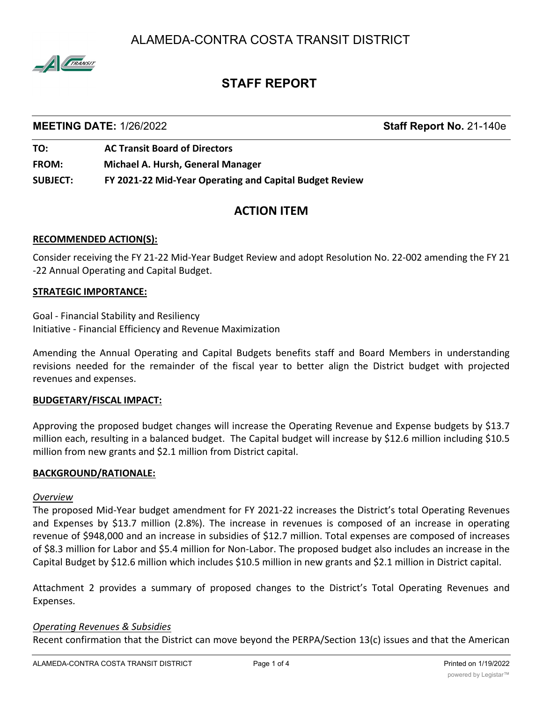ALAMEDA-CONTRA COSTA TRANSIT DISTRICT



# **STAFF REPORT**

### **MEETING DATE:** 1/26/2022 **Staff Report No.** 21-140e

**TO: AC Transit Board of Directors FROM: Michael A. Hursh, General Manager SUBJECT: FY 2021-22 Mid-Year Operating and Capital Budget Review**

## **ACTION ITEM**

### **RECOMMENDED ACTION(S):**

Consider receiving the FY 21-22 Mid-Year Budget Review and adopt Resolution No. 22-002 amending the FY 21 -22 Annual Operating and Capital Budget.

### **STRATEGIC IMPORTANCE:**

Goal - Financial Stability and Resiliency Initiative - Financial Efficiency and Revenue Maximization

Amending the Annual Operating and Capital Budgets benefits staff and Board Members in understanding revisions needed for the remainder of the fiscal year to better align the District budget with projected revenues and expenses.

### **BUDGETARY/FISCAL IMPACT:**

Approving the proposed budget changes will increase the Operating Revenue and Expense budgets by \$13.7 million each, resulting in a balanced budget. The Capital budget will increase by \$12.6 million including \$10.5 million from new grants and \$2.1 million from District capital.

### **BACKGROUND/RATIONALE:**

### *Overview*

The proposed Mid-Year budget amendment for FY 2021-22 increases the District's total Operating Revenues and Expenses by \$13.7 million (2.8%). The increase in revenues is composed of an increase in operating revenue of \$948,000 and an increase in subsidies of \$12.7 million. Total expenses are composed of increases of \$8.3 million for Labor and \$5.4 million for Non-Labor. The proposed budget also includes an increase in the Capital Budget by \$12.6 million which includes \$10.5 million in new grants and \$2.1 million in District capital.

Attachment 2 provides a summary of proposed changes to the District's Total Operating Revenues and Expenses.

### *Operating Revenues & Subsidies*

Recent confirmation that the District can move beyond the PERPA/Section 13(c) issues and that the American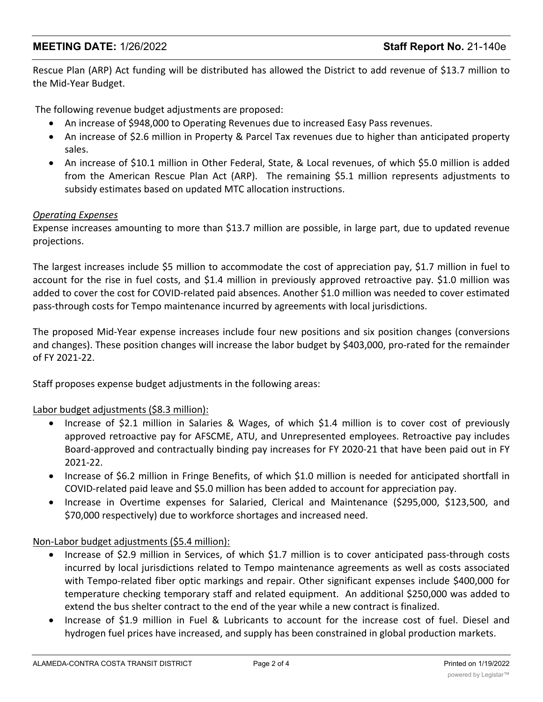### **MEETING DATE:** 1/26/2022 **Staff Report No.** 21-140e

Rescue Plan (ARP) Act funding will be distributed has allowed the District to add revenue of \$13.7 million to the Mid-Year Budget.

The following revenue budget adjustments are proposed:

- · An increase of \$948,000 to Operating Revenues due to increased Easy Pass revenues.
- An increase of \$2.6 million in Property & Parcel Tax revenues due to higher than anticipated property sales.
- An increase of \$10.1 million in Other Federal, State, & Local revenues, of which \$5.0 million is added from the American Rescue Plan Act (ARP). The remaining \$5.1 million represents adjustments to subsidy estimates based on updated MTC allocation instructions.

### *Operating Expenses*

Expense increases amounting to more than \$13.7 million are possible, in large part, due to updated revenue projections.

The largest increases include \$5 million to accommodate the cost of appreciation pay, \$1.7 million in fuel to account for the rise in fuel costs, and \$1.4 million in previously approved retroactive pay. \$1.0 million was added to cover the cost for COVID-related paid absences. Another \$1.0 million was needed to cover estimated pass-through costs for Tempo maintenance incurred by agreements with local jurisdictions.

The proposed Mid-Year expense increases include four new positions and six position changes (conversions and changes). These position changes will increase the labor budget by \$403,000, pro-rated for the remainder of FY 2021-22.

Staff proposes expense budget adjustments in the following areas:

### Labor budget adjustments (\$8.3 million):

- Increase of \$2.1 million in Salaries & Wages, of which \$1.4 million is to cover cost of previously approved retroactive pay for AFSCME, ATU, and Unrepresented employees. Retroactive pay includes Board-approved and contractually binding pay increases for FY 2020-21 that have been paid out in FY 2021-22.
- · Increase of \$6.2 million in Fringe Benefits, of which \$1.0 million is needed for anticipated shortfall in COVID-related paid leave and \$5.0 million has been added to account for appreciation pay.
- · Increase in Overtime expenses for Salaried, Clerical and Maintenance (\$295,000, \$123,500, and \$70,000 respectively) due to workforce shortages and increased need.

### Non-Labor budget adjustments (\$5.4 million):

- Increase of \$2.9 million in Services, of which \$1.7 million is to cover anticipated pass-through costs incurred by local jurisdictions related to Tempo maintenance agreements as well as costs associated with Tempo-related fiber optic markings and repair. Other significant expenses include \$400,000 for temperature checking temporary staff and related equipment. An additional \$250,000 was added to extend the bus shelter contract to the end of the year while a new contract is finalized.
- · Increase of \$1.9 million in Fuel & Lubricants to account for the increase cost of fuel. Diesel and hydrogen fuel prices have increased, and supply has been constrained in global production markets.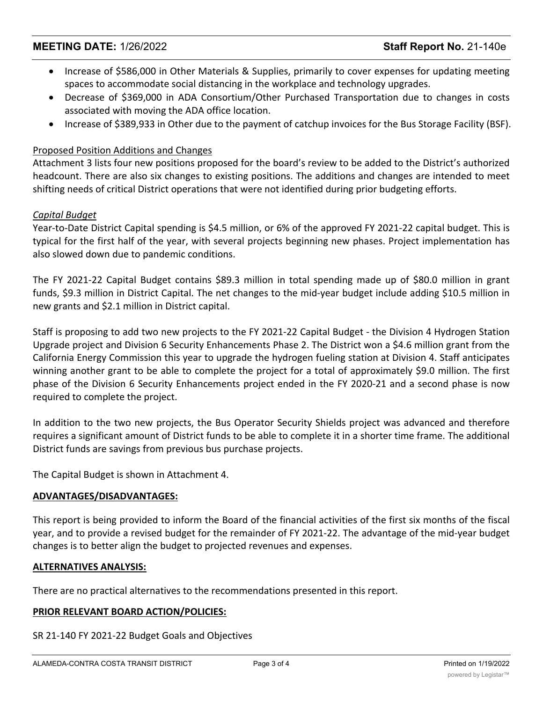### **MEETING DATE:** 1/26/2022 **Staff Report No.** 21-140e

- · Increase of \$586,000 in Other Materials & Supplies, primarily to cover expenses for updating meeting spaces to accommodate social distancing in the workplace and technology upgrades.
- · Decrease of \$369,000 in ADA Consortium/Other Purchased Transportation due to changes in costs associated with moving the ADA office location.
- · Increase of \$389,933 in Other due to the payment of catchup invoices for the Bus Storage Facility (BSF).

### Proposed Position Additions and Changes

Attachment 3 lists four new positions proposed for the board's review to be added to the District's authorized headcount. There are also six changes to existing positions. The additions and changes are intended to meet shifting needs of critical District operations that were not identified during prior budgeting efforts.

### *Capital Budget*

Year-to-Date District Capital spending is \$4.5 million, or 6% of the approved FY 2021-22 capital budget. This is typical for the first half of the year, with several projects beginning new phases. Project implementation has also slowed down due to pandemic conditions.

The FY 2021-22 Capital Budget contains \$89.3 million in total spending made up of \$80.0 million in grant funds, \$9.3 million in District Capital. The net changes to the mid-year budget include adding \$10.5 million in new grants and \$2.1 million in District capital.

Staff is proposing to add two new projects to the FY 2021-22 Capital Budget - the Division 4 Hydrogen Station Upgrade project and Division 6 Security Enhancements Phase 2. The District won a \$4.6 million grant from the California Energy Commission this year to upgrade the hydrogen fueling station at Division 4. Staff anticipates winning another grant to be able to complete the project for a total of approximately \$9.0 million. The first phase of the Division 6 Security Enhancements project ended in the FY 2020-21 and a second phase is now required to complete the project.

In addition to the two new projects, the Bus Operator Security Shields project was advanced and therefore requires a significant amount of District funds to be able to complete it in a shorter time frame. The additional District funds are savings from previous bus purchase projects.

The Capital Budget is shown in Attachment 4.

### **ADVANTAGES/DISADVANTAGES:**

This report is being provided to inform the Board of the financial activities of the first six months of the fiscal year, and to provide a revised budget for the remainder of FY 2021-22. The advantage of the mid-year budget changes is to better align the budget to projected revenues and expenses.

### **ALTERNATIVES ANALYSIS:**

There are no practical alternatives to the recommendations presented in this report.

### **PRIOR RELEVANT BOARD ACTION/POLICIES:**

SR 21-140 FY 2021-22 Budget Goals and Objectives